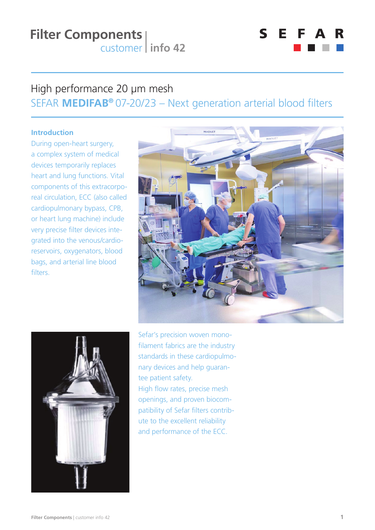

### High performance 20 μm mesh SEFAR **MEDIFAB®** 07-20/23 – Next generation arterial blood filters

### **Introduction**

During open-heart surgery, a complex system of medical devices temporarily replaces heart and lung functions. Vital components of this extracorporeal circulation, ECC (also called cardiopulmonary bypass, CPB, or heart lung machine) include very precise filter devices integrated into the venous/cardioreservoirs, oxygenators, blood bags, and arterial line blood filters.





Sefar's precision woven monofilament fabrics are the industry standards in these cardiopulmonary devices and help guarantee patient safety. High flow rates, precise mesh openings, and proven biocompatibility of Sefar filters contribute to the excellent reliability and performance of the ECC.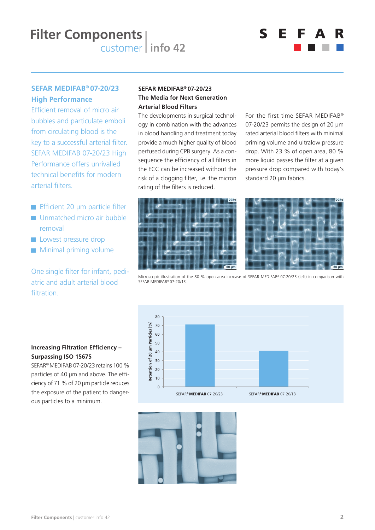# Е 5

### **SEFAR MEDIFAB® 07-20/23 High Performance**

Efficient removal of micro air bubbles and particulate emboli from circulating blood is the key to a successful arterial filter. SEFAR MEDIFAB 07-20/23 High Performance offers unrivalled technical benefits for modern arterial filters

- Efficient 20 μm particle filter
- **Unmatched micro air bubble** removal
- **Lowest pressure drop**
- **Minimal priming volume**

### One single filter for infant, pediatric and adult arterial blood filtration.

### **SEFAR MEDIFAB® 07-20/23 The Media for Next Generation Arterial Blood Filters**

The developments in surgical technology in combination with the advances in blood handling and treatment today provide a much higher quality of blood perfused during CPB surgery. As a consequence the efficiency of all filters in the ECC can be increased without the risk of a clogging filter, i.e. the micron rating of the filters is reduced.

For the first time SEFAR MEDIFAB® 07-20/23 permits the design of 20 um rated arterial blood filters with minimal priming volume and ultralow pressure drop. With 23 % of open area, 80 % more liquid passes the filter at a given pressure drop compared with today's standard 20 μm fabrics.





Microscopic illustration of the 80 % open area increase of SEFAR MEDIFAB® 07-20/23 (left) in comparison with SEFAR MEDIFAB® 07-20/13.

#### 80  $70$ Retention of 20 µm Particles 60  $50$  $40$  $30$  $\overline{20}$  $10$  $\circ$ SEFAR® MEDIFAB 07-20/23 SEFAR® MEDIFAB 07-20/13



### **Increasing Filtration Efficiency -Surpassing ISO 15675**

SEFAR® MEDIFAB 07-20/23 retains 100 % particles of 40 µm and above. The efficiency of 71 % of 20 μm particle reduces the exposure of the patient to dangerous particles to a minimum.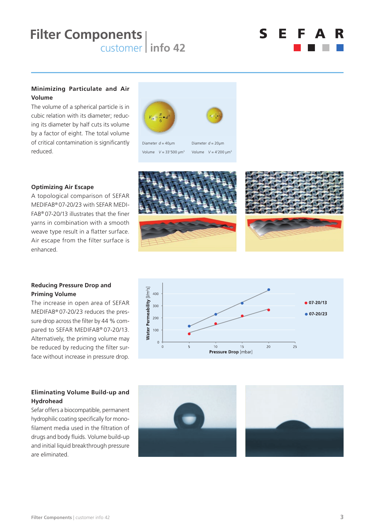

#### **Minimizing Particulate and Air Volume**

The volume of a spherical particle is in cubic relation with its diameter; reducing its diameter by half cuts its volume by a factor of eight. The total volume of critical contamination is significantly reduced.



#### **Optimizing Air Escape**

A topological comparison of SEFAR MEDIFAB® 07-20/23 with SEFAR MEDI- $FAB<sup>®</sup>$  07-20/13 illustrates that the finer yarns in combination with a smooth weave type result in a flatter surface. Air escape from the filter surface is enhanced.







### **Reducing Pressure Drop and Priming Volume**

The increase in open area of SEFAR MEDIFAB® 07-20/23 reduces the pressure drop across the filter by 44 % compared to SEFAR MEDIFAB® 07-20/13. Alternatively, the priming volume may be reduced by reducing the filter surface without increase in pressure drop.

### **Eliminating Volume Build-up and Hydrohead**

Sefar offers a biocompatible, permanent hydrophilic coating specifically for monofilament media used in the filtration of drugs and body fluids. Volume build-up and initial liquid breakthrough pressure are eliminated.